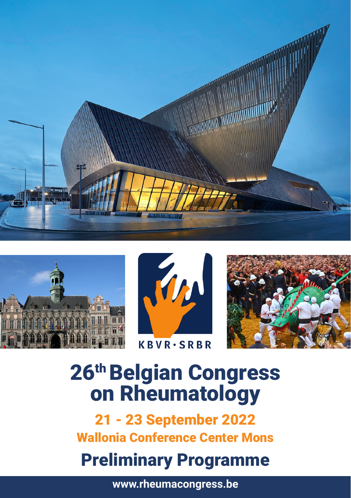







# 26th Belgian Congress on Rheumatology

21 - 23 September 2022 Wallonia Conference Center Mons

# Preliminary Programme

**www.rheumacongress.be**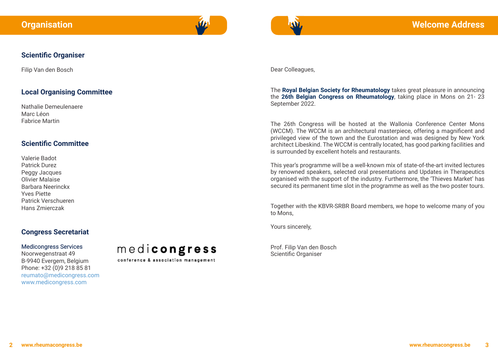

#### **Scientific Organiser**

Filip Van den Bosch

#### **Local Organising Committee**

Nathalie Demeulenaere Marc Léon Fabrice Martin

#### **Scientific Committee**

Valerie Badot Patrick Durez Peggy Jacques Olivier Malaise Barbara Neerinckx Yves Piette Patrick Verschueren Hans Zmierczak

#### **Congress Secretariat**

#### Medicongress Services

Noorwegenstraat 49 B-9940 Evergem, Belgium Phone: +32 (0)9 218 85 81 reumato@medicongress.com www.medicongress.com



conference & association management

Dear Colleagues,

The **Royal Belgian Society for Rheumatology** takes great pleasure in announcing the **26th Belgian Congress on Rheumatology**, taking place in Mons on 21- 23 September 2022.

The 26th Congress will be hosted at the Wallonia Conference Center Mons (WCCM). The WCCM is an architectural masterpiece, offering a magnificent and privileged view of the town and the Eurostation and was designed by New York architect Libeskind. The WCCM is centrally located, has good parking facilities and is surrounded by excellent hotels and restaurants.

This year's programme will be a well-known mix of state-of-the-art invited lectures by renowned speakers, selected oral presentations and Updates in Therapeutics organised with the support of the industry. Furthermore, the 'Thieves Market' has secured its permanent time slot in the programme as well as the two poster tours.

Together with the KBVR-SRBR Board members, we hope to welcome many of you to Mons,

Yours sincerely,

Prof. Filip Van den Bosch Scientific Organiser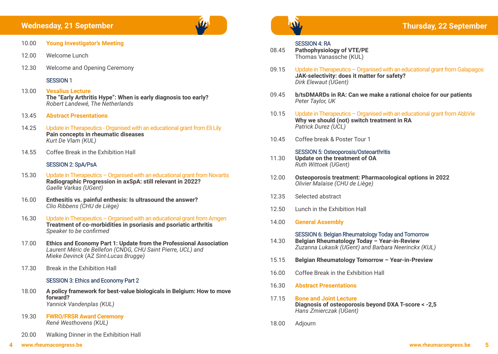#### **Wednesday, 21 September**

- 10.00 **Young Investigator's Meeting**
- 12.00 Welcome Lunch
- 12.30 Welcome and Opening Ceremony

#### SESSION 1

- 13.00 **Vesalius Lecture The "Early Arthritis Hype": When is early diagnosis too early?**  *Robert Landewé, The Netherlands*
- 13.45 **Abstract Presentations**
- 14.25 Update in Therapeutics Organised with an educational grant from Eli Lily **Pain concepts in rheumatic diseases**  *Kurt De Vlam (KUL)*
- 14.55 Coffee Break in the Exhibition Hall

#### SESSION 2: SpA/PsA

- 15.30 Update in Therapeutics Organised with an educational grant from Novartis **Radiographic Progression in axSpA: still relevant in 2022?**   *Gaelle Varkas (UGent)*
- 16.00 **Enthesitis vs. painful enthesis: Is ultrasound the answer?**  *Clio Ribbens (CHU de Liège)*
- 16.30 Update in Therapeutics Organised with an educational grant from Amgen **Treatment of co-morbidities in psoriasis and psoriatic arthritis**  *Speaker to be confirmed*
- 17.00 **Ethics and Economy Part 1: Update from the Professional Association**   *Laurent Méric de Bellefon (CNDG, CHU Saint Pierre, UCL) and Mieke Devinck* (AZ *Sint-Lucas Brugge)*
- 17.30 Break in the Exhibition Hall

#### SESSION 3: Ethics and Economy Part 2

- 18.00 **A policy framework for best-value biologicals in Belgium: How to move forward?** *Yannick Vandenplas (KUL)*
- 19.30 **FWRO/FRSR Award Ceremony**  *René Westhovens (KUL)*
- 20.00 Walking Dinner in the Exhibition Hall



### **SESSION 4: RA**<br>08.45 **Pathophysiology**

**Pathophysiology of VTE/PE** Thomas Vanassche (KUL)

- 09.15 Update in Therapeutics Organised with an educational grant from Galapagos **JAK-selectivity: does it matter for safety?**  *Dirk Elewaut (UGent)*
- 09.45 **b/tsDMARDs in RA: Can we make a rational choice for our patients**  *Peter Taylor, UK*
- 10.15 Update in Therapeutics Organised with an educational grant from AbbVie **Why we should (not) switch treatment in RA**  *Patrick Durez (UCL)*
- 10.45 Coffee break & Poster Tour 1

#### SESSION 5: Osteoporosis/Osteoarthritis

- 11.30 **Update on the treatment of OA**  *Ruth Wittoek (UGent)*
- 12.00 **Osteoporosis treatment: Pharmacological options in 2022**  *Olivier Malaise (CHU de Liège)*
- 12.35 Selected abstract
- 12.50 Lunch in the Exhibition Hall
- 14.00 **General Assembly**

## SESSION 6: Belgian Rheumatology Today and Tomorrow<br>14.30 Belgian Rheumatology Today - Year-in-Review

- 14.30 **Belgian Rheumatology Today Year-in-Review**  *Zuzanna Lukasik (UGent) and Barbara Neerinckx (KUL)*
- 15.15 **Belgian Rheumatology Tomorrow Year-in-Preview**
- 16.00 Coffee Break in the Exhibition Hall
- 16.30 **Abstract Presentations**
- 17.15 **Bone and Joint Lecture Diagnosis of osteoporosis beyond DXA T-score < -2,5**   *Hans Zmierczak (UGent)*
- 18.00 Adjourn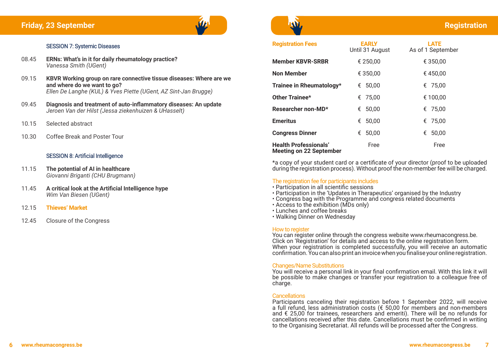#### SESSION 7: Systemic Diseases

- 08.45 **ERNs: What's in it for daily rheumatology practice?**  *Vanessa Smith (UGent)*
- 09.15 **KBVR Working group on rare connective tissue diseases: Where are we and where do we want to go?**  *Ellen De Langhe (KUL) & Yves Piette (UGent, AZ Sint-Jan Brugge)*
- 09.45 **Diagnosis and treatment of auto-inflammatory diseases: An update** *Jeroen Van der Hilst (Jessa ziekenhuizen & UHasselt)*
- 10.15 Selected abstract
- 10.30 Coffee Break and Poster Tour

#### SESSION 8: Artificial Intelligence

- 11.15 **The potential of AI in healthcare** *Giovanni Briganti (CHU Brugmann)*
- 11.45 **A critical look at the Artificial Intelligence hype**  *Wim Van Biesen (UGent)*
- 12.15 **Thieves' Market**
- 12.45 Closure of the Congress



### **Registration**

| <b>Registration Fees</b>                                       | <b>EARLY</b><br>Until 31 August | <b>LATE</b><br>As of 1 September |
|----------------------------------------------------------------|---------------------------------|----------------------------------|
| <b>Member KBVR-SRBR</b>                                        | € 250,00                        | € 350,00                         |
| Non Member                                                     | € 350,00                        | €450,00                          |
| Trainee in Rheumatology*                                       | 50,00<br>€                      | € 75,00                          |
| Other Trainee*                                                 | € 75,00                         | € 100,00                         |
| Researcher non-MD*                                             | 50,00<br>€                      | € 75,00                          |
| <b>Emeritus</b>                                                | 50,00<br>€                      | € 75,00                          |
| <b>Congress Dinner</b>                                         | 50,00<br>€                      | 50,00<br>€                       |
| <b>Health Professionals'</b><br><b>Meeting on 22 September</b> | Free                            | Free                             |

\*a copy of your student card or a certificate of your director (proof to be uploaded during the registration process). Without proof the non-member fee will be charged.

#### The registration fee for participants includes

- Participation in all scientific sessions
- Participation in the 'Updates in Therapeutics' organised by the Industry
- Congress bag with the Programme and congress related documents
- Access to the exhibition (MDs only)
- Lunches and coffee breaks
- Walking Dinner on Wednesday

#### How to register

You can register online through the congress website www.rheumacongress.be. Click on 'Registration' for details and access to the online registration form. When your registration is completed successfully, you will receive an automatic confirmation. You can also print an invoice when you finalise your online registration.

#### Changes/Name Substitutions

You will receive a personal link in your final confirmation email. With this link it will be possible to make changes or transfer your registration to a colleague free of charge.

#### **Cancellations**

Participants canceling their registration before 1 September 2022, will receive a full refund, less administration costs (€ 50,00 for members and non-members and  $\epsilon$  25,00 for trainees, researchers and emeriti). There will be no refunds for cancellations received after this date. Cancellations must be confirmed in writing to the Organising Secretariat. All refunds will be processed after the Congress.